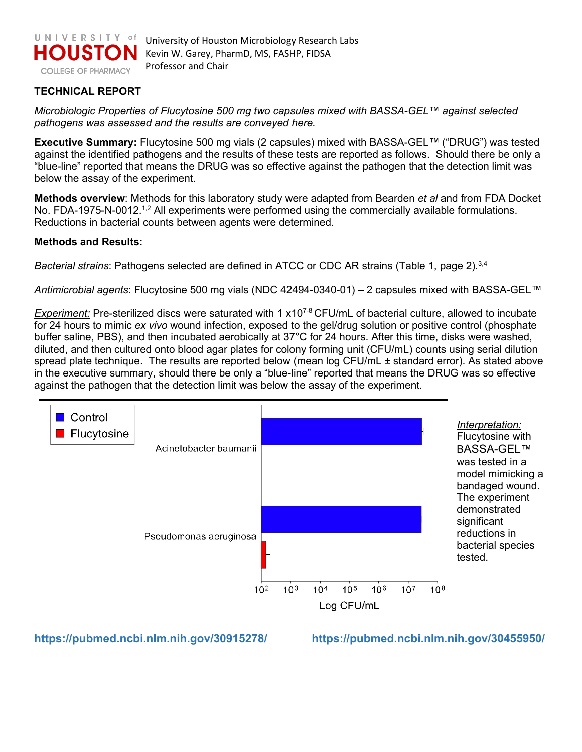

University of Houston Microbiology Research Labs Kevin W. Garey, PharmD, MS, FASHP, FIDSA Professor and Chair

## **TECHNICAL REPORT**

*Microbiologic Properties of Flucytosine 500 mg two capsules mixed with BASSA-GEL™ against selected pathogens was assessed and the results are conveyed here.* 

**Executive Summary:** Flucytosine 500 mg vials (2 capsules) mixed with BASSA-GEL*™* ("DRUG") was tested against the identified pathogens and the results of these tests are reported as follows. Should there be only a "blue-line" reported that means the DRUG was so effective against the pathogen that the detection limit was below the assay of the experiment.

**Methods overview**: Methods for this laboratory study were adapted from Bearden *et al* and from FDA Docket No. FDA-1975-N-0012.<sup>1,2</sup> All experiments were performed using the commercially available formulations. Reductions in bacterial counts between agents were determined.

## **Methods and Results:**

**Bacterial strains:** Pathogens selected are defined in ATCC or CDC AR strains (Table 1, page 2).<sup>3,4</sup>

*Antimicrobial agents*: Flucytosine 500 mg vials (NDC 42494-0340-01) – 2 capsules mixed with BASSA-GEL*™*

*Experiment:* Pre-sterilized discs were saturated with 1 x10<sup>7-8</sup> CFU/mL of bacterial culture, allowed to incubate for 24 hours to mimic *ex vivo* wound infection, exposed to the gel/drug solution or positive control (phosphate buffer saline, PBS), and then incubated aerobically at 37°C for 24 hours. After this time, disks were washed, diluted, and then cultured onto blood agar plates for colony forming unit (CFU/mL) counts using serial dilution spread plate technique. The results are reported below (mean log CFU/mL ± standard error). As stated above in the executive summary, should there be only a "blue-line" reported that means the DRUG was so effective against the pathogen that the detection limit was below the assay of the experiment.



**<https://pubmed.ncbi.nlm.nih.gov/30915278/>https://pubmed.ncbi.nlm.nih.gov/30455950/**